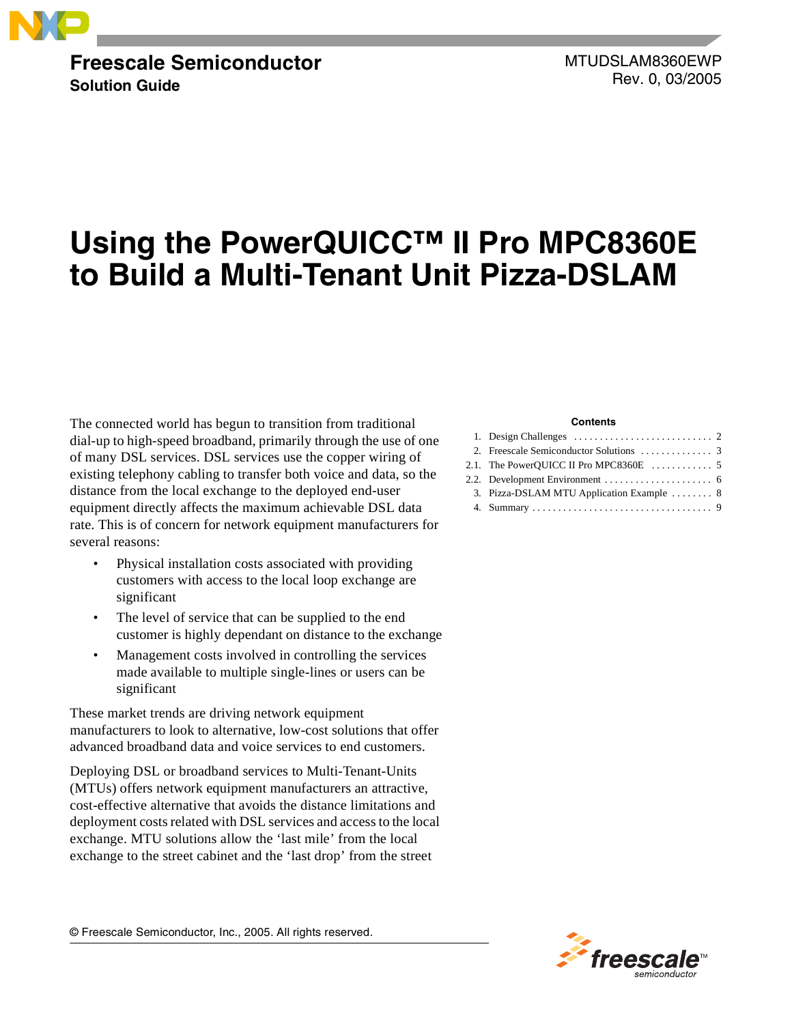

## **Freescale Semiconductor Solution Guide**

MTUDSLAM8360EWP Rev. 0, 03/2005

# **Using the PowerQUICC™ II Pro MPC8360E to Build a Multi-Tenant Unit Pizza-DSLAM**

The connected world has begun to transition from traditional dial-up to high-speed broadband, primarily through the use of one of many DSL services. DSL services use the copper wiring of existing telephony cabling to transfer both voice and data, so the distance from the local exchange to the deployed end-user equipment directly affects the maximum achievable DSL data rate. This is of concern for network equipment manufacturers for several reasons:

- Physical installation costs associated with providing customers with access to the local loop exchange are significant
- The level of service that can be supplied to the end customer is highly dependant on distance to the exchange
- Management costs involved in controlling the services made available to multiple single-lines or users can be significant

These market trends are driving network equipment manufacturers to look to alternative, low-cost solutions that offer advanced broadband data and voice services to end customers.

Deploying DSL or broadband services to Multi-Tenant-Units (MTUs) offers network equipment manufacturers an attractive, cost-effective alternative that avoids the distance limitations and deployment costs related with DSL services and access to the local exchange. MTU solutions allow the 'last mile' from the local exchange to the street cabinet and the 'last drop' from the street

**Contents**

| 3. Pizza-DSLAM MTU Application Example  8 |
|-------------------------------------------|
|                                           |



© Freescale Semiconductor, Inc., 2005. All rights reserved.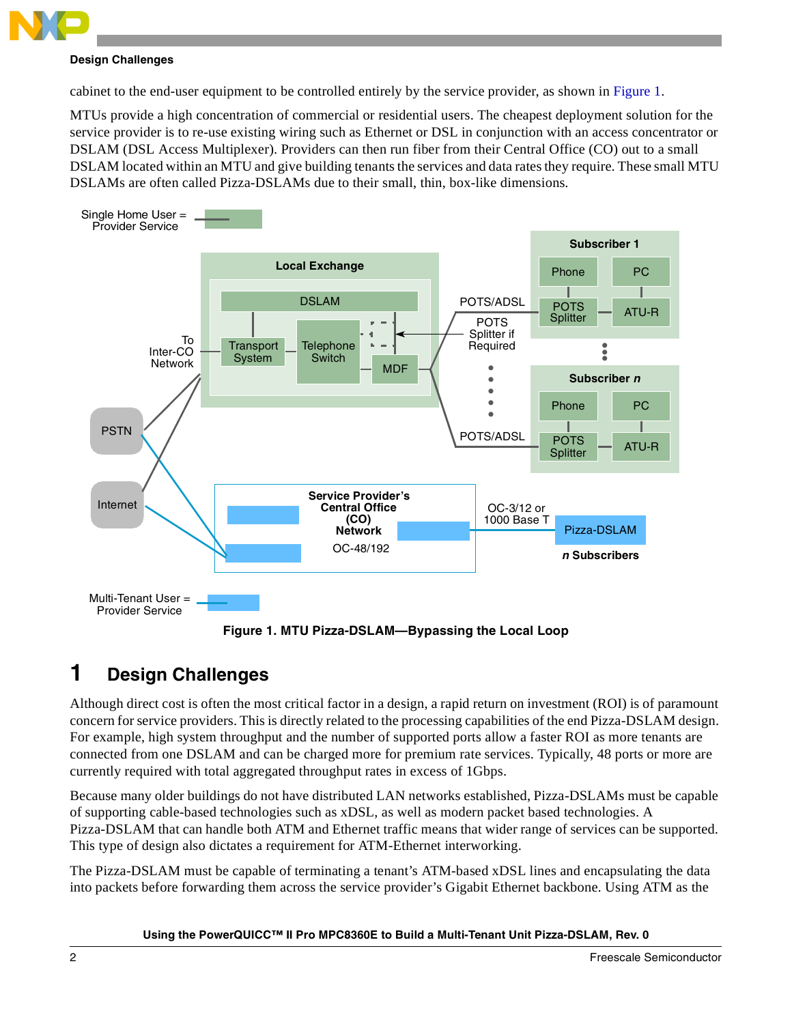

### **Design Challenges**

cabinet to the end-user equipment to be controlled entirely by the service provider, as shown in [Figure 1](#page-1-1).

MTUs provide a high concentration of commercial or residential users. The cheapest deployment solution for the service provider is to re-use existing wiring such as Ethernet or DSL in conjunction with an access concentrator or DSLAM (DSL Access Multiplexer). Providers can then run fiber from their Central Office (CO) out to a small DSLAM located within an MTU and give building tenants the services and data rates they require. These small MTU DSLAMs are often called Pizza-DSLAMs due to their small, thin, box-like dimensions.



**Figure 1. MTU Pizza-DSLAM—Bypassing the Local Loop**

# <span id="page-1-1"></span><span id="page-1-0"></span>**1 Design Challenges**

Although direct cost is often the most critical factor in a design, a rapid return on investment (ROI) is of paramount concern for service providers. This is directly related to the processing capabilities of the end Pizza-DSLAM design. For example, high system throughput and the number of supported ports allow a faster ROI as more tenants are connected from one DSLAM and can be charged more for premium rate services. Typically, 48 ports or more are currently required with total aggregated throughput rates in excess of 1Gbps.

Because many older buildings do not have distributed LAN networks established, Pizza-DSLAMs must be capable of supporting cable-based technologies such as xDSL, as well as modern packet based technologies. A Pizza-DSLAM that can handle both ATM and Ethernet traffic means that wider range of services can be supported. This type of design also dictates a requirement for ATM-Ethernet interworking.

The Pizza-DSLAM must be capable of terminating a tenant's ATM-based xDSL lines and encapsulating the data into packets before forwarding them across the service provider's Gigabit Ethernet backbone. Using ATM as the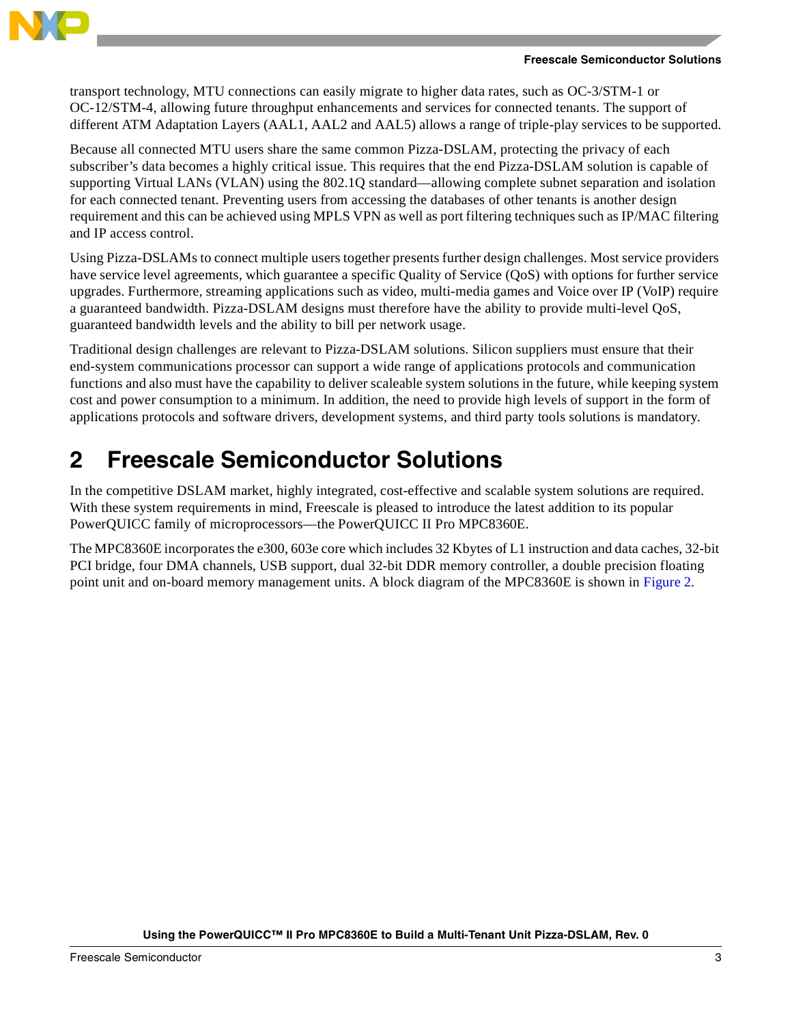

transport technology, MTU connections can easily migrate to higher data rates, such as OC-3/STM-1 or OC-12/STM-4, allowing future throughput enhancements and services for connected tenants. The support of different ATM Adaptation Layers (AAL1, AAL2 and AAL5) allows a range of triple-play services to be supported.

Because all connected MTU users share the same common Pizza-DSLAM, protecting the privacy of each subscriber's data becomes a highly critical issue. This requires that the end Pizza-DSLAM solution is capable of supporting Virtual LANs (VLAN) using the 802.1Q standard—allowing complete subnet separation and isolation for each connected tenant. Preventing users from accessing the databases of other tenants is another design requirement and this can be achieved using MPLS VPN as well as port filtering techniques such as IP/MAC filtering and IP access control.

Using Pizza-DSLAMs to connect multiple users together presents further design challenges. Most service providers have service level agreements, which guarantee a specific Quality of Service (QoS) with options for further service upgrades. Furthermore, streaming applications such as video, multi-media games and Voice over IP (VoIP) require a guaranteed bandwidth. Pizza-DSLAM designs must therefore have the ability to provide multi-level QoS, guaranteed bandwidth levels and the ability to bill per network usage.

Traditional design challenges are relevant to Pizza-DSLAM solutions. Silicon suppliers must ensure that their end-system communications processor can support a wide range of applications protocols and communication functions and also must have the capability to deliver scaleable system solutions in the future, while keeping system cost and power consumption to a minimum. In addition, the need to provide high levels of support in the form of applications protocols and software drivers, development systems, and third party tools solutions is mandatory.

# <span id="page-2-0"></span>**2 Freescale Semiconductor Solutions**

In the competitive DSLAM market, highly integrated, cost-effective and scalable system solutions are required. With these system requirements in mind, Freescale is pleased to introduce the latest addition to its popular PowerQUICC family of microprocessors—the PowerQUICC II Pro MPC8360E.

The MPC8360E incorporates the e300, 603e core which includes 32 Kbytes of L1 instruction and data caches, 32-bit PCI bridge, four DMA channels, USB support, dual 32-bit DDR memory controller, a double precision floating point unit and on-board memory management units. A block diagram of the MPC8360E is shown in [Figure 2](#page-3-0).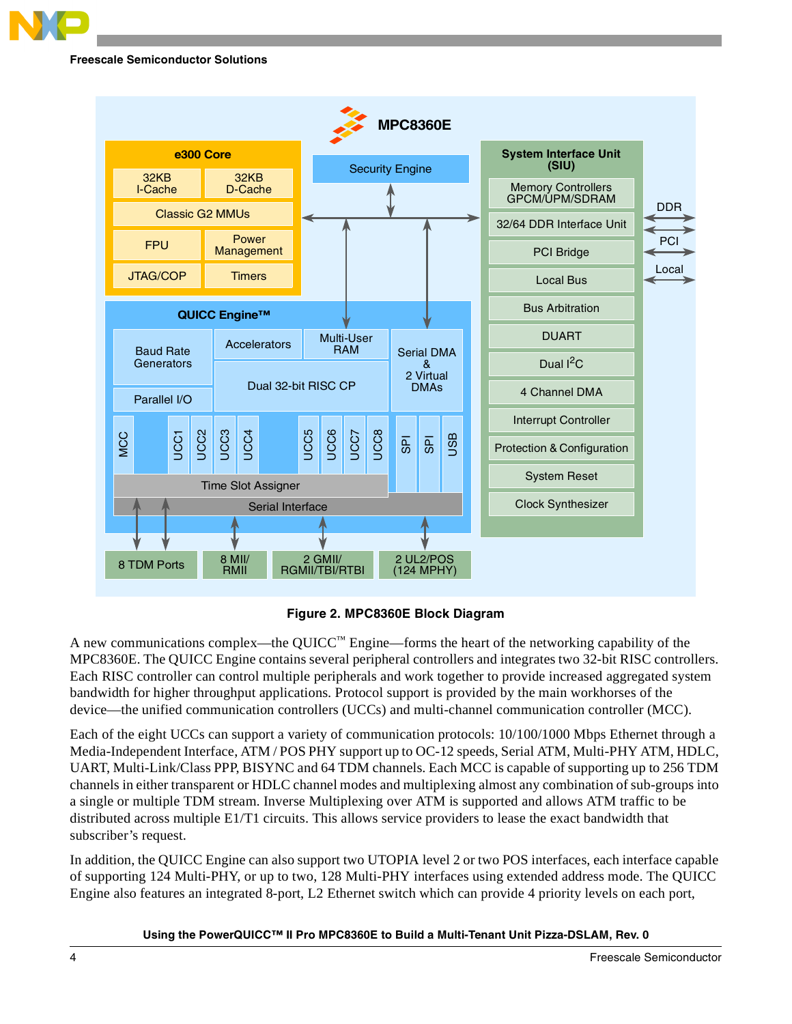

#### **Freescale Semiconductor Solutions**



**Figure 2. MPC8360E Block Diagram**

<span id="page-3-0"></span>A new communications complex—the QUICC™ Engine—forms the heart of the networking capability of the MPC8360E. The QUICC Engine contains several peripheral controllers and integrates two 32-bit RISC controllers. Each RISC controller can control multiple peripherals and work together to provide increased aggregated system bandwidth for higher throughput applications. Protocol support is provided by the main workhorses of the device—the unified communication controllers (UCCs) and multi-channel communication controller (MCC).

Each of the eight UCCs can support a variety of communication protocols: 10/100/1000 Mbps Ethernet through a Media-Independent Interface, ATM / POS PHY support up to OC-12 speeds, Serial ATM, Multi-PHY ATM, HDLC, UART, Multi-Link/Class PPP, BISYNC and 64 TDM channels. Each MCC is capable of supporting up to 256 TDM channels in either transparent or HDLC channel modes and multiplexing almost any combination of sub-groups into a single or multiple TDM stream. Inverse Multiplexing over ATM is supported and allows ATM traffic to be distributed across multiple E1/T1 circuits. This allows service providers to lease the exact bandwidth that subscriber's request.

In addition, the QUICC Engine can also support two UTOPIA level 2 or two POS interfaces, each interface capable of supporting 124 Multi-PHY, or up to two, 128 Multi-PHY interfaces using extended address mode. The QUICC Engine also features an integrated 8-port, L2 Ethernet switch which can provide 4 priority levels on each port,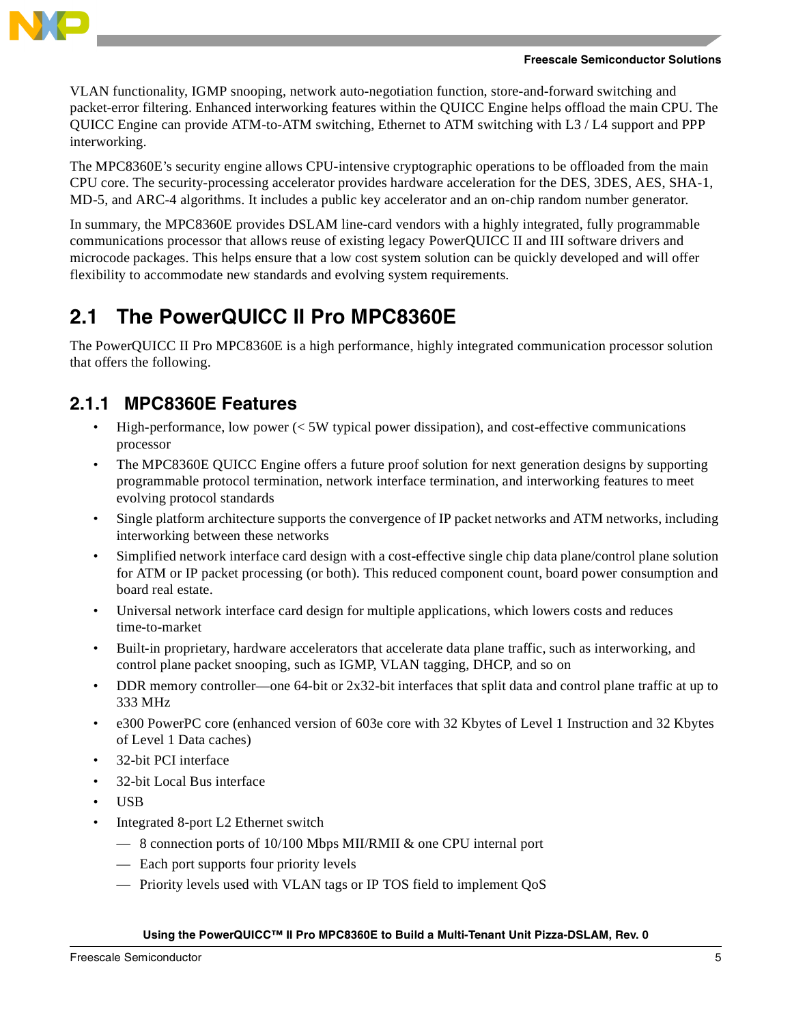

VLAN functionality, IGMP snooping, network auto-negotiation function, store-and-forward switching and packet-error filtering. Enhanced interworking features within the QUICC Engine helps offload the main CPU. The QUICC Engine can provide ATM-to-ATM switching, Ethernet to ATM switching with L3 / L4 support and PPP interworking.

The MPC8360E's security engine allows CPU-intensive cryptographic operations to be offloaded from the main CPU core. The security-processing accelerator provides hardware acceleration for the DES, 3DES, AES, SHA-1, MD-5, and ARC-4 algorithms. It includes a public key accelerator and an on-chip random number generator.

In summary, the MPC8360E provides DSLAM line-card vendors with a highly integrated, fully programmable communications processor that allows reuse of existing legacy PowerQUICC II and III software drivers and microcode packages. This helps ensure that a low cost system solution can be quickly developed and will offer flexibility to accommodate new standards and evolving system requirements.

# <span id="page-4-0"></span>**2.1 The PowerQUICC II Pro MPC8360E**

The PowerQUICC II Pro MPC8360E is a high performance, highly integrated communication processor solution that offers the following.

## **2.1.1 MPC8360E Features**

- High-performance, low power (< 5W typical power dissipation), and cost-effective communications processor
- The MPC8360E QUICC Engine offers a future proof solution for next generation designs by supporting programmable protocol termination, network interface termination, and interworking features to meet evolving protocol standards
- Single platform architecture supports the convergence of IP packet networks and ATM networks, including interworking between these networks
- Simplified network interface card design with a cost-effective single chip data plane/control plane solution for ATM or IP packet processing (or both). This reduced component count, board power consumption and board real estate.
- Universal network interface card design for multiple applications, which lowers costs and reduces time-to-market
- Built-in proprietary, hardware accelerators that accelerate data plane traffic, such as interworking, and control plane packet snooping, such as IGMP, VLAN tagging, DHCP, and so on
- DDR memory controller—one 64-bit or 2x32-bit interfaces that split data and control plane traffic at up to 333 MHz
- e300 PowerPC core (enhanced version of 603e core with 32 Kbytes of Level 1 Instruction and 32 Kbytes of Level 1 Data caches)
- 32-bit PCI interface
- 32-bit Local Bus interface
- USB
- Integrated 8-port L2 Ethernet switch
	- 8 connection ports of 10/100 Mbps MII/RMII & one CPU internal port
	- Each port supports four priority levels
	- Priority levels used with VLAN tags or IP TOS field to implement QoS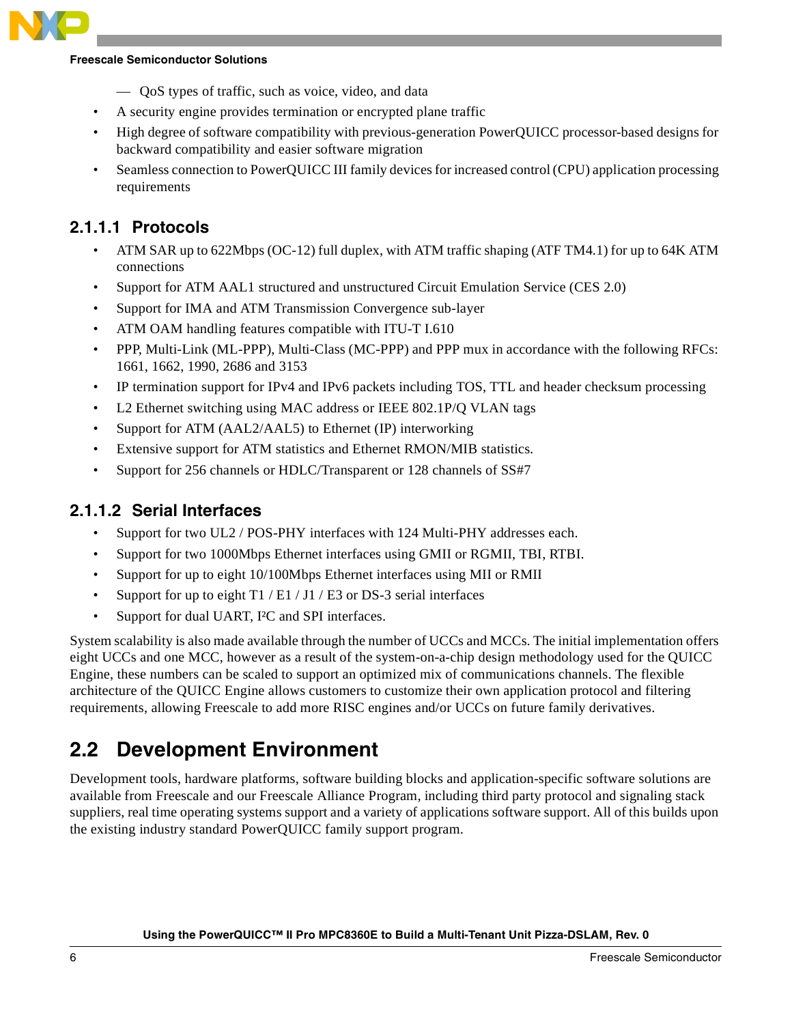### **Freescale Semiconductor Solutions**

- QoS types of traffic, such as voice, video, and data
- A security engine provides termination or encrypted plane traffic
- High degree of software compatibility with previous-generation PowerQUICC processor-based designs for backward compatibility and easier software migration
- Seamless connection to PowerQUICC III family devices for increased control (CPU) application processing requirements

### **2.1.1.1 Protocols**

- ATM SAR up to 622Mbps (OC-12) full duplex, with ATM traffic shaping (ATF TM4.1) for up to 64K ATM connections
- Support for ATM AAL1 structured and unstructured Circuit Emulation Service (CES 2.0)
- Support for IMA and ATM Transmission Convergence sub-layer
- ATM OAM handling features compatible with ITU-T I.610
- PPP, Multi-Link (ML-PPP), Multi-Class (MC-PPP) and PPP mux in accordance with the following RFCs: 1661, 1662, 1990, 2686 and 3153
- IP termination support for IPv4 and IPv6 packets including TOS, TTL and header checksum processing
- L2 Ethernet switching using MAC address or IEEE 802.1P/Q VLAN tags
- Support for ATM (AAL2/AAL5) to Ethernet (IP) interworking
- Extensive support for ATM statistics and Ethernet RMON/MIB statistics.
- Support for 256 channels or HDLC/Transparent or 128 channels of SS#7

### **2.1.1.2 Serial Interfaces**

- Support for two UL2 / POS-PHY interfaces with 124 Multi-PHY addresses each.
- Support for two 1000Mbps Ethernet interfaces using GMII or RGMII, TBI, RTBI.
- Support for up to eight 10/100Mbps Ethernet interfaces using MII or RMII
- Support for up to eight  $T1 / E1 / J1 / E3$  or DS-3 serial interfaces
- Support for dual UART, I<sup>2</sup>C and SPI interfaces.

System scalability is also made available through the number of UCCs and MCCs. The initial implementation offers eight UCCs and one MCC, however as a result of the system-on-a-chip design methodology used for the QUICC Engine, these numbers can be scaled to support an optimized mix of communications channels. The flexible architecture of the QUICC Engine allows customers to customize their own application protocol and filtering requirements, allowing Freescale to add more RISC engines and/or UCCs on future family derivatives.

# <span id="page-5-0"></span>**2.2 Development Environment**

Development tools, hardware platforms, software building blocks and application-specific software solutions are available from Freescale and our Freescale Alliance Program, including third party protocol and signaling stack suppliers, real time operating systems support and a variety of applications software support. All of this builds upon the existing industry standard PowerQUICC family support program.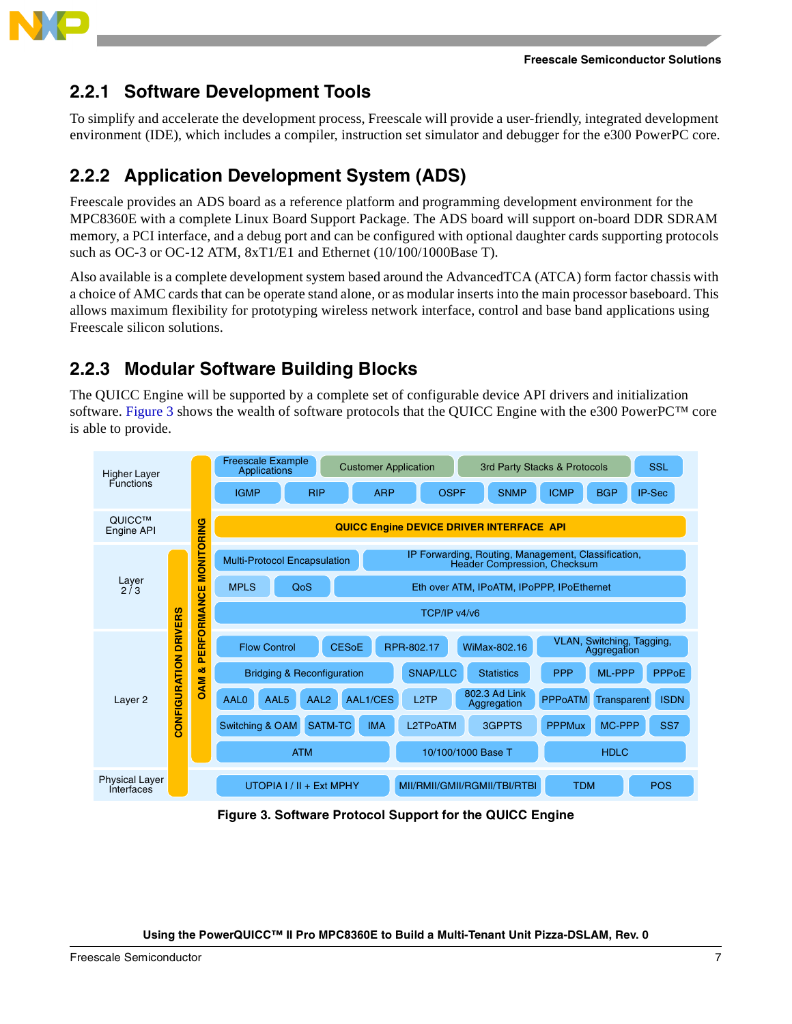

## **2.2.1 Software Development Tools**

To simplify and accelerate the development process, Freescale will provide a user-friendly, integrated development environment (IDE), which includes a compiler, instruction set simulator and debugger for the e300 PowerPC core.

## **2.2.2 Application Development System (ADS)**

Freescale provides an ADS board as a reference platform and programming development environment for the MPC8360E with a complete Linux Board Support Package. The ADS board will support on-board DDR SDRAM memory, a PCI interface, and a debug port and can be configured with optional daughter cards supporting protocols such as OC-3 or OC-12 ATM,  $8xT1/E1$  and Ethernet (10/100/1000Base T).

Also available is a complete development system based around the AdvancedTCA (ATCA) form factor chassis with a choice of AMC cards that can be operate stand alone, or as modular inserts into the main processor baseboard. This allows maximum flexibility for prototyping wireless network interface, control and base band applications using Freescale silicon solutions.

# **2.2.3 Modular Software Building Blocks**

The QUICC Engine will be supported by a complete set of configurable device API drivers and initialization software. [Figure 3](#page-6-0) shows the wealth of software protocols that the QUICC Engine with the e300 PowerPC™ core is able to provide.



<span id="page-6-0"></span>**Figure 3. Software Protocol Support for the QUICC Engine**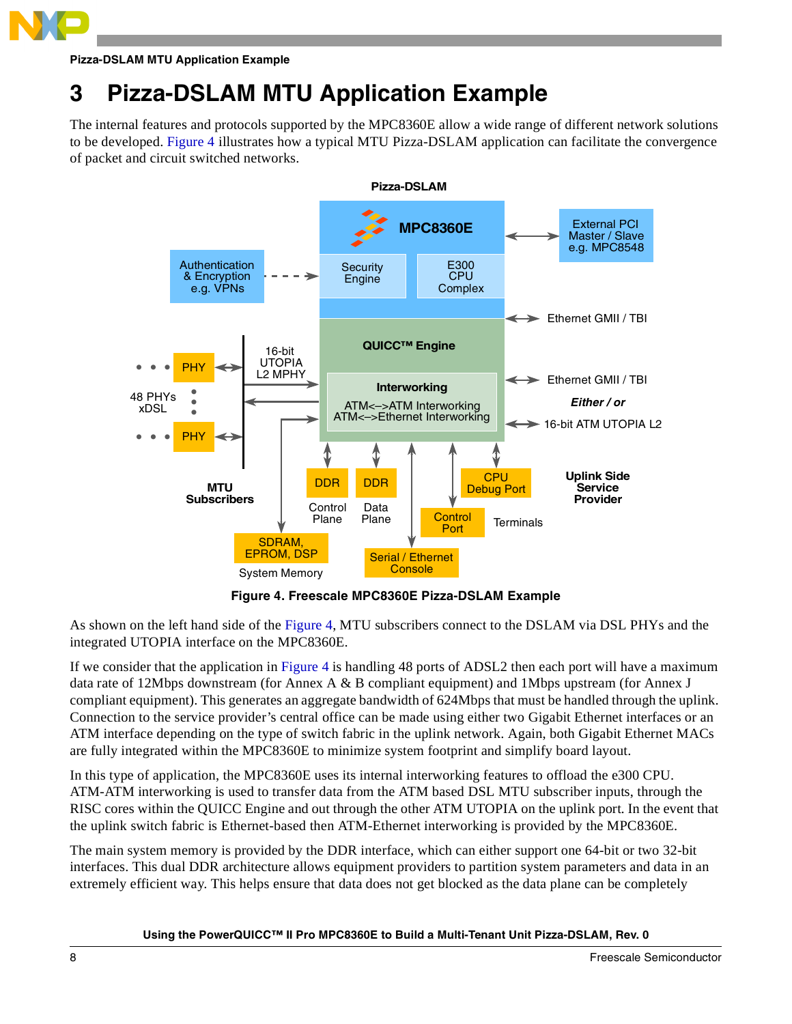

**Pizza-DSLAM MTU Application Example**

# <span id="page-7-0"></span>**3 Pizza-DSLAM MTU Application Example**

The internal features and protocols supported by the MPC8360E allow a wide range of different network solutions to be developed. [Figure 4](#page-7-1) illustrates how a typical MTU Pizza-DSLAM application can facilitate the convergence of packet and circuit switched networks.



**Figure 4. Freescale MPC8360E Pizza-DSLAM Example**

<span id="page-7-1"></span>As shown on the left hand side of the [Figure 4](#page-7-1), MTU subscribers connect to the DSLAM via DSL PHYs and the integrated UTOPIA interface on the MPC8360E.

If we consider that the application in [Figure 4](#page-7-1) is handling 48 ports of ADSL2 then each port will have a maximum data rate of 12Mbps downstream (for Annex A & B compliant equipment) and 1Mbps upstream (for Annex J compliant equipment). This generates an aggregate bandwidth of 624Mbps that must be handled through the uplink. Connection to the service provider's central office can be made using either two Gigabit Ethernet interfaces or an ATM interface depending on the type of switch fabric in the uplink network. Again, both Gigabit Ethernet MACs are fully integrated within the MPC8360E to minimize system footprint and simplify board layout.

In this type of application, the MPC8360E uses its internal interworking features to offload the e300 CPU. ATM-ATM interworking is used to transfer data from the ATM based DSL MTU subscriber inputs, through the RISC cores within the QUICC Engine and out through the other ATM UTOPIA on the uplink port. In the event that the uplink switch fabric is Ethernet-based then ATM-Ethernet interworking is provided by the MPC8360E.

The main system memory is provided by the DDR interface, which can either support one 64-bit or two 32-bit interfaces. This dual DDR architecture allows equipment providers to partition system parameters and data in an extremely efficient way. This helps ensure that data does not get blocked as the data plane can be completely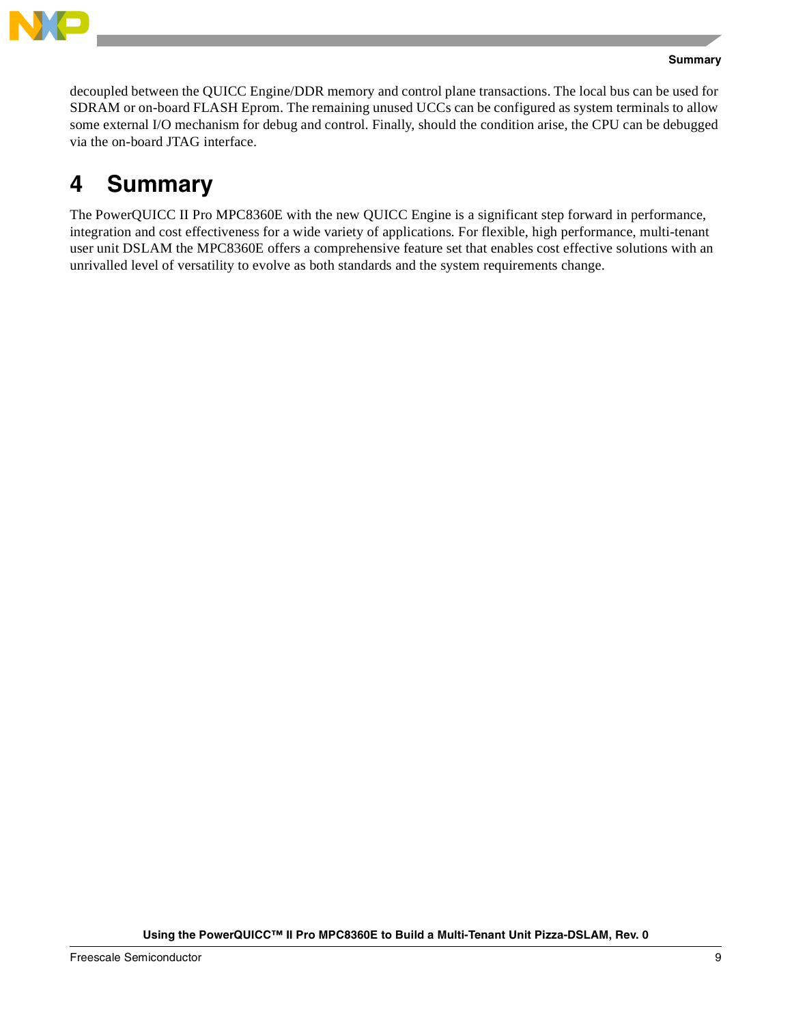

#### **Summary**

decoupled between the QUICC Engine/DDR memory and control plane transactions. The local bus can be used for SDRAM or on-board FLASH Eprom. The remaining unused UCCs can be configured as system terminals to allow some external I/O mechanism for debug and control. Finally, should the condition arise, the CPU can be debugged via the on-board JTAG interface.

# <span id="page-8-0"></span>**4 Summary**

The PowerQUICC II Pro MPC8360E with the new QUICC Engine is a significant step forward in performance, integration and cost effectiveness for a wide variety of applications. For flexible, high performance, multi-tenant user unit DSLAM the MPC8360E offers a comprehensive feature set that enables cost effective solutions with an unrivalled level of versatility to evolve as both standards and the system requirements change.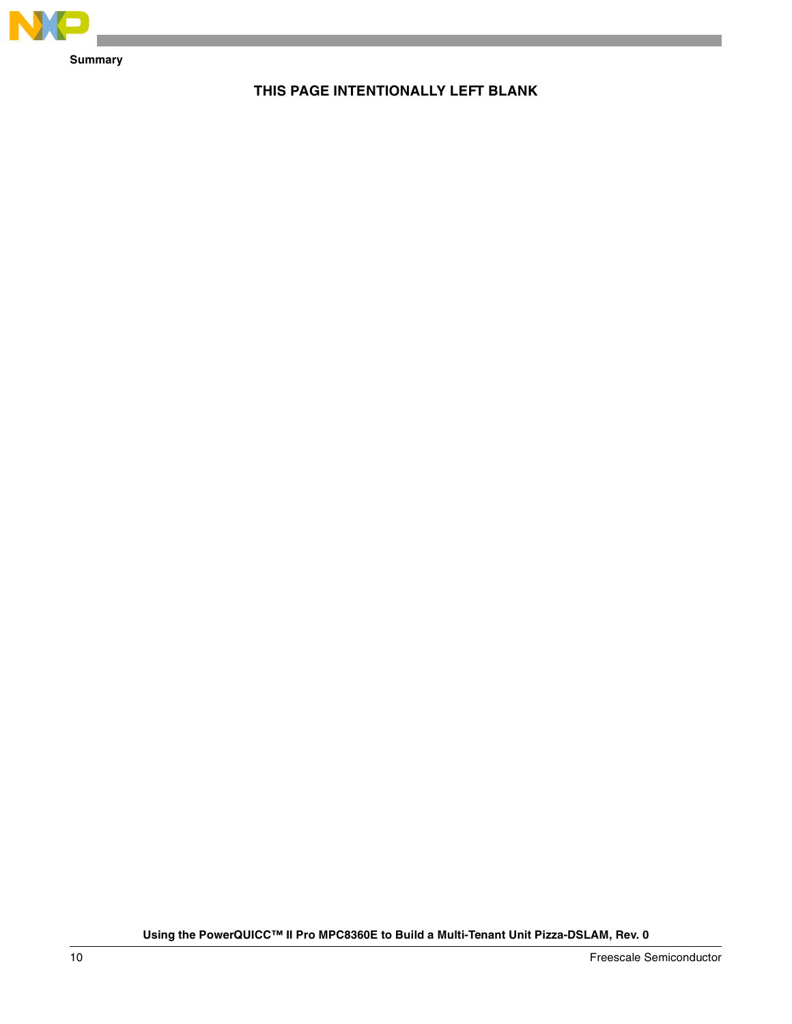

**Summary**

### **THIS PAGE INTENTIONALLY LEFT BLANK**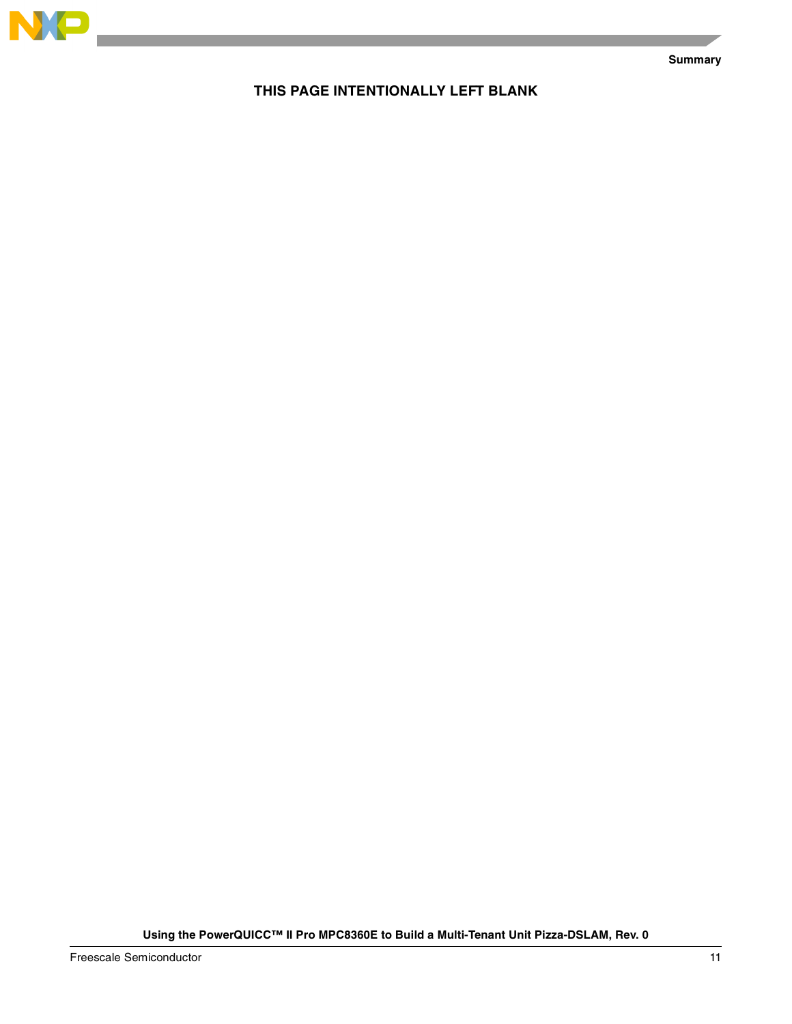

### **THIS PAGE INTENTIONALLY LEFT BLANK**